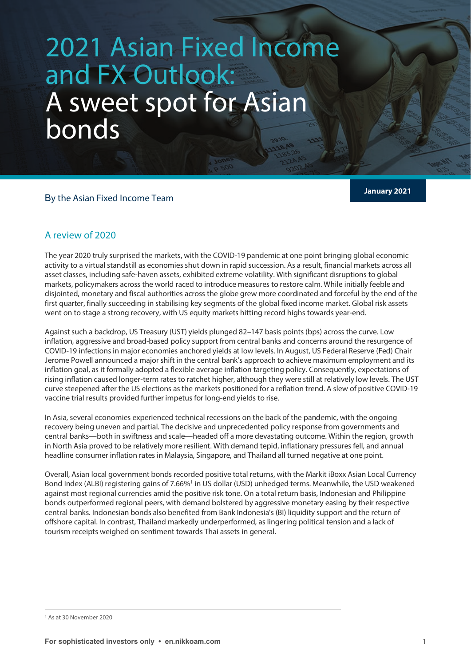# **2021 Asian Fixed Income** and FX Outlook: A sweet spot for Asian bonds

**January 2021** <sup>B</sup>y the Asian Fixed Income Team

## A review of 2020

The year 2020 truly surprised the markets, with the COVID-19 pandemic at one point bringing global economic activity to a virtual standstill as economies shut down in rapid succession. As a result, financial markets across all asset classes, including safe-haven assets, exhibited extreme volatility. With significant disruptions to global markets, policymakers across the world raced to introduce measures to restore calm. While initially feeble and disjointed, monetary and fiscal authorities across the globe grew more coordinated and forceful by the end of the first quarter, finally succeeding in stabilising key segments of the global fixed income market. Global risk assets went on to stage a strong recovery, with US equity markets hitting record highs towards year-end.

Against such a backdrop, US Treasury (UST) yields plunged 82–147 basis points (bps) across the curve. Low inflation, aggressive and broad-based policy support from central banks and concerns around the resurgence of COVID-19 infections in major economies anchored yields at low levels. In August, US Federal Reserve (Fed) Chair Jerome Powell announced a major shift in the central bank's approach to achieve maximum employment and its inflation goal, as it formally adopted a flexible average inflation targeting policy. Consequently, expectations of rising inflation caused longer-term rates to ratchet higher, although they were still at relatively low levels. The UST curve steepened after the US elections as the markets positioned for a reflation trend. A slew of positive COVID-19 vaccine trial results provided further impetus for long-end yields to rise.

In Asia, several economies experienced technical recessions on the back of the pandemic, with the ongoing recovery being uneven and partial. The decisive and unprecedented policy response from governments and central banks—both in swiftness and scale—headed off a more devastating outcome. Within the region, growth in North Asia proved to be relatively more resilient. With demand tepid, inflationary pressures fell, and annual headline consumer inflation rates in Malaysia, Singapore, and Thailand all turned negative at one point.

Overall, Asian local government bonds recorded positive total returns, with the Markit iBoxx Asian Local Currency Bond Index (ALBI) registering gains of 7.66%<sup>[1](#page-0-0)</sup> in US dollar (USD) unhedged terms. Meanwhile, the USD weakened against most regional currencies amid the positive risk tone. On a total return basis, Indonesian and Philippine bonds outperformed regional peers, with demand bolstered by aggressive monetary easing by their respective central banks. Indonesian bonds also benefited from Bank Indonesia's (BI) liquidity support and the return of offshore capital. In contrast, Thailand markedly underperformed, as lingering political tension and a lack of tourism receipts weighed on sentiment towards Thai assets in general.

<span id="page-0-0"></span><sup>1</sup> As at 30 November 2020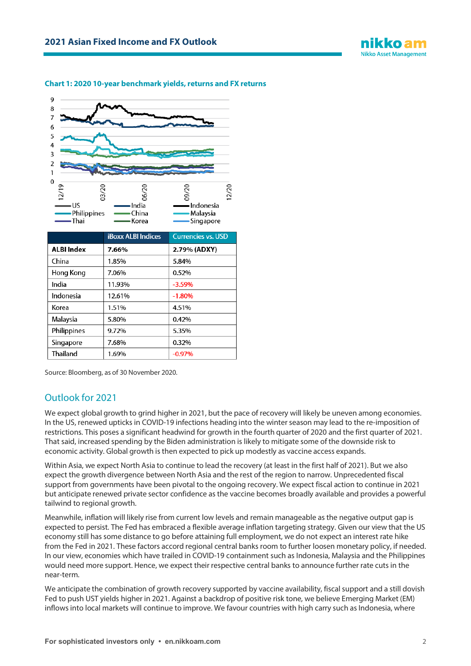

#### **Chart 1: 2020 10-year benchmark yields, returns and FX returns**



Source: Bloomberg, as of 30 November 2020.

### Outlook for 2021

We expect global growth to grind higher in 2021, but the pace of recovery will likely be uneven among economies. In the US, renewed upticks in COVID-19 infections heading into the winter season may lead to the re-imposition of restrictions. This poses a significant headwind for growth in the fourth quarter of 2020 and the first quarter of 2021. That said, increased spending by the Biden administration is likely to mitigate some of the downside risk to economic activity. Global growth is then expected to pick up modestly as vaccine access expands.

Within Asia, we expect North Asia to continue to lead the recovery (at least in the first half of 2021). But we also expect the growth divergence between North Asia and the rest of the region to narrow. Unprecedented fiscal support from governments have been pivotal to the ongoing recovery. We expect fiscal action to continue in 2021 but anticipate renewed private sector confidence as the vaccine becomes broadly available and provides a powerful tailwind to regional growth.

Meanwhile, inflation will likely rise from current low levels and remain manageable as the negative output gap is expected to persist. The Fed has embraced a flexible average inflation targeting strategy. Given our view that the US economy still has some distance to go before attaining full employment, we do not expect an interest rate hike from the Fed in 2021. These factors accord regional central banks room to further loosen monetary policy, if needed. In our view, economies which have trailed in COVID-19 containment such as Indonesia, Malaysia and the Philippines would need more support. Hence, we expect their respective central banks to announce further rate cuts in the near-term.

We anticipate the combination of growth recovery supported by vaccine availability, fiscal support and a still dovish Fed to push UST yields higher in 2021. Against a backdrop of positive risk tone, we believe Emerging Market (EM) inflows into local markets will continue to improve. We favour countries with high carry such as Indonesia, where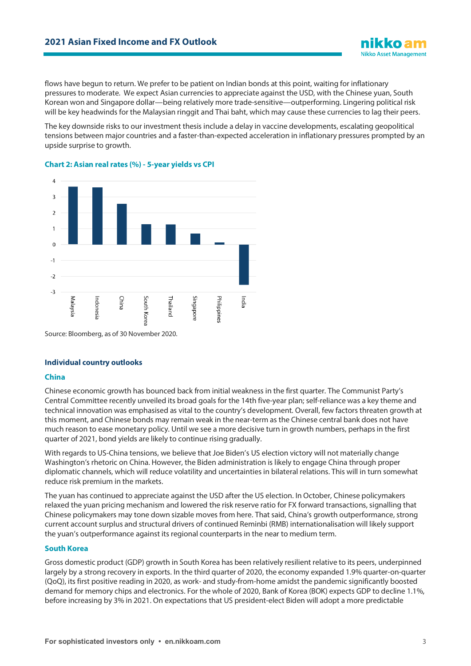flows have begun to return. We prefer to be patient on Indian bonds at this point, waiting for inflationary pressures to moderate. We expect Asian currencies to appreciate against the USD, with the Chinese yuan, South Korean won and Singapore dollar—being relatively more trade-sensitive—outperforming. Lingering political risk will be key headwinds for the Malaysian ringgit and Thai baht, which may cause these currencies to lag their peers.

The key downside risks to our investment thesis include a delay in vaccine developments, escalating geopolitical tensions between major countries and a faster-than-expected acceleration in inflationary pressures prompted by an upside surprise to growth.



#### **Chart 2: Asian real rates (%) - 5-year yields vs CPI**

**Individual country outlooks**

#### **China**

Chinese economic growth has bounced back from initial weakness in the first quarter. The Communist Party's Central Committee recently unveiled its broad goals for the 14th five-year plan; self-reliance was a key theme and technical innovation was emphasised as vital to the country's development. Overall, few factors threaten growth at this moment, and Chinese bonds may remain weak in the near-term as the Chinese central bank does not have much reason to ease monetary policy. Until we see a more decisive turn in growth numbers, perhaps in the first quarter of 2021, bond yields are likely to continue rising gradually.

With regards to US-China tensions, we believe that Joe Biden's US election victory will not materially change Washington's rhetoric on China. However, the Biden administration is likely to engage China through proper diplomatic channels, which will reduce volatility and uncertainties in bilateral relations. This will in turn somewhat reduce risk premium in the markets.

The yuan has continued to appreciate against the USD after the US election. In October, Chinese policymakers relaxed the yuan pricing mechanism and lowered the risk reserve ratio for FX forward transactions, signalling that Chinese policymakers may tone down sizable moves from here. That said, China's growth outperformance, strong current account surplus and structural drivers of continued Reminbi (RMB) internationalisation will likely support the yuan's outperformance against its regional counterparts in the near to medium term.

#### **South Korea**

Gross domestic product (GDP) growth in South Korea has been relatively resilient relative to its peers, underpinned largely by a strong recovery in exports. In the third quarter of 2020, the economy expanded 1.9% quarter-on-quarter (QoQ), its first positive reading in 2020, as work- and study-from-home amidst the pandemic significantly boosted demand for memory chips and electronics. For the whole of 2020, Bank of Korea (BOK) expects GDP to decline 1.1%, before increasing by 3% in 2021. On expectations that US president-elect Biden will adopt a more predictable

**Nikko Asset Management**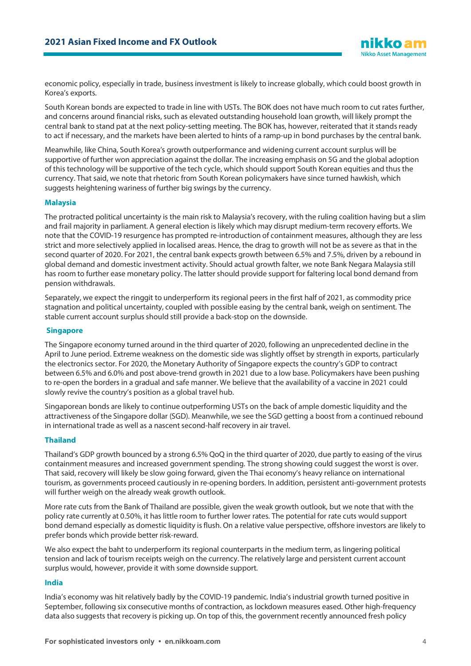economic policy, especially in trade, business investment is likely to increase globally, which could boost growth in Korea's exports.

South Korean bonds are expected to trade in line with USTs. The BOK does not have much room to cut rates further, and concerns around financial risks, such as elevated outstanding household loan growth, will likely prompt the central bank to stand pat at the next policy-setting meeting. The BOK has, however, reiterated that it stands ready to act if necessary, and the markets have been alerted to hints of a ramp-up in bond purchases by the central bank.

Meanwhile, like China, South Korea's growth outperformance and widening current account surplus will be supportive of further won appreciation against the dollar. The increasing emphasis on 5G and the global adoption of this technology will be supportive of the tech cycle, which should support South Korean equities and thus the currency. That said, we note that rhetoric from South Korean policymakers have since turned hawkish, which suggests heightening wariness of further big swings by the currency.

#### **Malaysia**

The protracted political uncertainty is the main risk to Malaysia's recovery, with the ruling coalition having but a slim and frail majority in parliament. A general election is likely which may disrupt medium-term recovery efforts. We note that the COVID-19 resurgence has prompted re-introduction of containment measures, although they are less strict and more selectively applied in localised areas. Hence, the drag to growth will not be as severe as that in the second quarter of 2020. For 2021, the central bank expects growth between 6.5% and 7.5%, driven by a rebound in global demand and domestic investment activity. Should actual growth falter, we note Bank Negara Malaysia still has room to further ease monetary policy. The latter should provide support for faltering local bond demand from pension withdrawals.

Separately, we expect the ringgit to underperform its regional peers in the first half of 2021, as commodity price stagnation and political uncertainty, coupled with possible easing by the central bank, weigh on sentiment. The stable current account surplus should still provide a back-stop on the downside.

#### **Singapore**

The Singapore economy turned around in the third quarter of 2020, following an unprecedented decline in the April to June period. Extreme weakness on the domestic side was slightly offset by strength in exports, particularly the electronics sector. For 2020, the Monetary Authority of Singapore expects the country's GDP to contract between 6.5% and 6.0% and post above-trend growth in 2021 due to a low base. Policymakers have been pushing to re-open the borders in a gradual and safe manner. We believe that the availability of a vaccine in 2021 could slowly revive the country's position as a global travel hub.

Singaporean bonds are likely to continue outperforming USTs on the back of ample domestic liquidity and the attractiveness of the Singapore dollar (SGD). Meanwhile, we see the SGD getting a boost from a continued rebound in international trade as well as a nascent second-half recovery in air travel.

#### **Thailand**

Thailand's GDP growth bounced by a strong 6.5% QoQ in the third quarter of 2020, due partly to easing of the virus containment measures and increased government spending. The strong showing could suggest the worst is over. That said, recovery will likely be slow going forward, given the Thai economy's heavy reliance on international tourism, as governments proceed cautiously in re-opening borders. In addition, persistent anti-government protests will further weigh on the already weak growth outlook.

More rate cuts from the Bank of Thailand are possible, given the weak growth outlook, but we note that with the policy rate currently at 0.50%, it has little room to further lower rates. The potential for rate cuts would support bond demand especially as domestic liquidity is flush. On a relative value perspective, offshore investors are likely to prefer bonds which provide better risk-reward.

We also expect the baht to underperform its regional counterparts in the medium term, as lingering political tension and lack of tourism receipts weigh on the currency. The relatively large and persistent current account surplus would, however, provide it with some downside support.

#### **India**

India's economy was hit relatively badly by the COVID-19 pandemic. India's industrial growth turned positive in September, following six consecutive months of contraction, as lockdown measures eased. Other high-frequency data also suggests that recovery is picking up. On top of this, the government recently announced fresh policy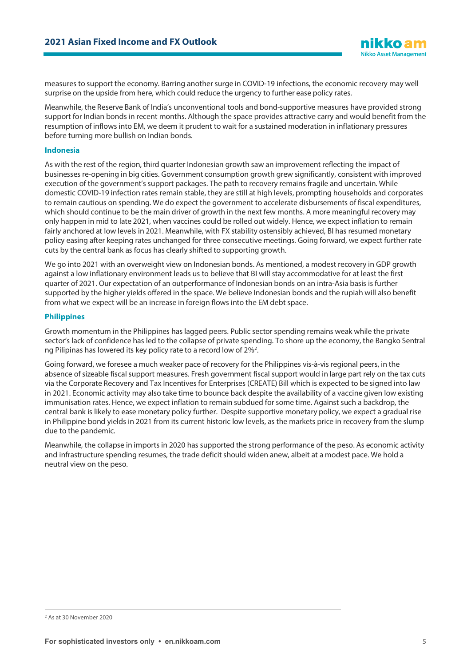measures to support the economy. Barring another surge in COVID-19 infections, the economic recovery may well surprise on the upside from here, which could reduce the urgency to further ease policy rates.

Meanwhile, the Reserve Bank of India's unconventional tools and bond-supportive measures have provided strong support for Indian bonds in recent months. Although the space provides attractive carry and would benefit from the resumption of inflows into EM, we deem it prudent to wait for a sustained moderation in inflationary pressures before turning more bullish on Indian bonds.

#### **Indonesia**

As with the rest of the region, third quarter Indonesian growth saw an improvement reflecting the impact of businesses re-opening in big cities. Government consumption growth grew significantly, consistent with improved execution of the government's support packages. The path to recovery remains fragile and uncertain. While domestic COVID-19 infection rates remain stable, they are still at high levels, prompting households and corporates to remain cautious on spending. We do expect the government to accelerate disbursements of fiscal expenditures, which should continue to be the main driver of growth in the next few months. A more meaningful recovery may only happen in mid to late 2021, when vaccines could be rolled out widely. Hence, we expect inflation to remain fairly anchored at low levels in 2021. Meanwhile, with FX stability ostensibly achieved, BI has resumed monetary policy easing after keeping rates unchanged for three consecutive meetings. Going forward, we expect further rate cuts by the central bank as focus has clearly shifted to supporting growth.

We go into 2021 with an overweight view on Indonesian bonds. As mentioned, a modest recovery in GDP growth against a low inflationary environment leads us to believe that BI will stay accommodative for at least the first quarter of 2021. Our expectation of an outperformance of Indonesian bonds on an intra-Asia basis is further supported by the higher yields offered in the space. We believe Indonesian bonds and the rupiah will also benefit from what we expect will be an increase in foreign flows into the EM debt space.

#### **Philippines**

Growth momentum in the Philippines has lagged peers. Public sector spending remains weak while the private sector's lack of confidence has led to the collapse of private spending. To shore up the economy, the Bangko Sentral ng Pilipinas has lowered its key policy rate to a record low of [2](#page-4-0)%<sup>2</sup>.

Going forward, we foresee a much weaker pace of recovery for the Philippines vis-à-vis regional peers, in the absence of sizeable fiscal support measures. Fresh government fiscal support would in large part rely on the tax cuts via the Corporate Recovery and Tax Incentives for Enterprises (CREATE) Bill which is expected to be signed into law in 2021. Economic activity may also take time to bounce back despite the availability of a vaccine given low existing immunisation rates. Hence, we expect inflation to remain subdued for some time. Against such a backdrop, the central bank is likely to ease monetary policy further. Despite supportive monetary policy, we expect a gradual rise in Philippine bond yields in 2021 from its current historic low levels, as the markets price in recovery from the slump due to the pandemic.

Meanwhile, the collapse in imports in 2020 has supported the strong performance of the peso. As economic activity and infrastructure spending resumes, the trade deficit should widen anew, albeit at a modest pace. We hold a neutral view on the peso.

<span id="page-4-0"></span><sup>2</sup> As at 30 November 2020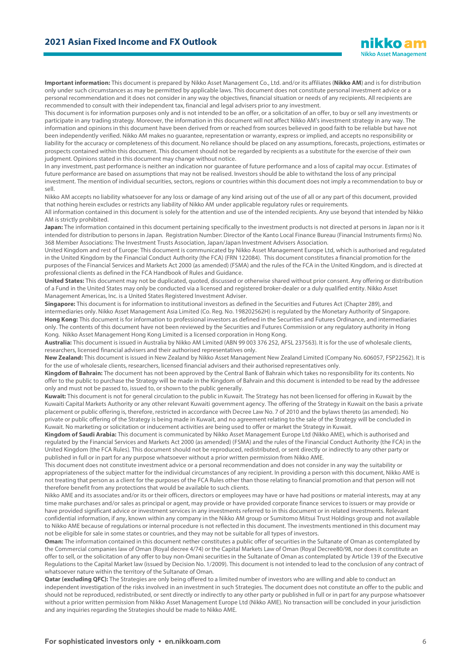**Important information:** This document is prepared by Nikko Asset Management Co., Ltd. and/or its affiliates (**Nikko AM**) and is for distribution only under such circumstances as may be permitted by applicable laws. This document does not constitute personal investment advice or a personal recommendation and it does not consider in any way the objectives, financial situation or needs of any recipients. All recipients are recommended to consult with their independent tax, financial and legal advisers prior to any investment.

This document is for information purposes only and is not intended to be an offer, or a solicitation of an offer, to buy or sell any investments or participate in any trading strategy. Moreover, the information in this document will not affect Nikko AM's investment strategy in any way. The information and opinions in this document have been derived from or reached from sources believed in good faith to be reliable but have not been independently verified. Nikko AM makes no guarantee, representation or warranty, express or implied, and accepts no responsibility or liability for the accuracy or completeness of this document. No reliance should be placed on any assumptions, forecasts, projections, estimates or prospects contained within this document. This document should not be regarded by recipients as a substitute for the exercise of their own judgment. Opinions stated in this document may change without notice.

In any investment, past performance is neither an indication nor guarantee of future performance and a loss of capital may occur. Estimates of future performance are based on assumptions that may not be realised. Investors should be able to withstand the loss of any principal investment. The mention of individual securities, sectors, regions or countries within this document does not imply a recommendation to buy or sell.

Nikko AM accepts no liability whatsoever for any loss or damage of any kind arising out of the use of all or any part of this document, provided that nothing herein excludes or restricts any liability of Nikko AM under applicable regulatory rules or requirements.

All information contained in this document is solely for the attention and use of the intended recipients. Any use beyond that intended by Nikko AM is strictly prohibited.

Japan: The information contained in this document pertaining specifically to the investment products is not directed at persons in Japan nor is it intended for distribution to persons in Japan. Registration Number: Director of the Kanto Local Finance Bureau (Financial Instruments firms) No. 368 Member Associations: The Investment Trusts Association, Japan/Japan Investment Advisers Association.

United Kingdom and rest of Europe: This document is communicated by Nikko Asset Management Europe Ltd, which is authorised and regulated in the United Kingdom by the Financial Conduct Authority (the FCA) (FRN 122084). This document constitutes a financial promotion for the purposes of the Financial Services and Markets Act 2000 (as amended) (FSMA) and the rules of the FCA in the United Kingdom, and is directed at professional clients as defined in the FCA Handbook of Rules and Guidance.

**United States:** This document may not be duplicated, quoted, discussed or otherwise shared without prior consent. Any offering or distribution of a Fund in the United States may only be conducted via a licensed and registered broker-dealer or a duly qualified entity. Nikko Asset Management Americas, Inc. is a United States Registered Investment Adviser.

**Singapore:** This document is for information to institutional investors as defined in the Securities and Futures Act (Chapter 289), and intermediaries only. Nikko Asset Management Asia Limited (Co. Reg. No. 198202562H) is regulated by the Monetary Authority of Singapore. **Hong Kong:** This document is for information to professional investors as defined in the Securities and Futures Ordinance, and intermediaries only. The contents of this document have not been reviewed by the Securities and Futures Commission or any regulatory authority in Hong Kong. Nikko Asset Management Hong Kong Limited is a licensed corporation in Hong Kong.

**Australia:** This document is issued in Australia by Nikko AM Limited (ABN 99 003 376 252, AFSL 237563). It is for the use of wholesale clients, researchers, licensed financial advisers and their authorised representatives only.

**New Zealand:** This document is issued in New Zealand by Nikko Asset Management New Zealand Limited (Company No. 606057, FSP22562). It is for the use of wholesale clients, researchers, licensed financial advisers and their authorised representatives only.

**Kingdom of Bahrain:** The document has not been approved by the Central Bank of Bahrain which takes no responsibility for its contents. No offer to the public to purchase the Strategy will be made in the Kingdom of Bahrain and this document is intended to be read by the addressee only and must not be passed to, issued to, or shown to the public generally.

**Kuwait:** This document is not for general circulation to the public in Kuwait. The Strategy has not been licensed for offering in Kuwait by the Kuwaiti Capital Markets Authority or any other relevant Kuwaiti government agency. The offering of the Strategy in Kuwait on the basis a private placement or public offering is, therefore, restricted in accordance with Decree Law No. 7 of 2010 and the bylaws thereto (as amended). No private or public offering of the Strategy is being made in Kuwait, and no agreement relating to the sale of the Strategy will be concluded in Kuwait. No marketing or solicitation or inducement activities are being used to offer or market the Strategy in Kuwait.

**Kingdom of Saudi Arabia:** This document is communicated by Nikko Asset Management Europe Ltd (Nikko AME), which is authorised and regulated by the Financial Services and Markets Act 2000 (as amended) (FSMA) and the rules of the Financial Conduct Authority (the FCA) in the United Kingdom (the FCA Rules). This document should not be reproduced, redistributed, or sent directly or indirectly to any other party or published in full or in part for any purpose whatsoever without a prior written permission from Nikko AME.

This document does not constitute investment advice or a personal recommendation and does not consider in any way the suitability or appropriateness of the subject matter for the individual circumstances of any recipient. In providing a person with this document, Nikko AME is not treating that person as a client for the purposes of the FCA Rules other than those relating to financial promotion and that person will not therefore benefit from any protections that would be available to such clients.

Nikko AME and its associates and/or its or their officers, directors or employees may have or have had positions or material interests, may at any time make purchases and/or sales as principal or agent, may provide or have provided corporate finance services to issuers or may provide or have provided significant advice or investment services in any investments referred to in this document or in related investments. Relevant confidential information, if any, known within any company in the Nikko AM group or Sumitomo Mitsui Trust Holdings group and not available to Nikko AME because of regulations or internal procedure is not reflected in this document. The investments mentioned in this document may not be eligible for sale in some states or countries, and they may not be suitable for all types of investors.

**Oman:** The information contained in this document nether constitutes a public offer of securities in the Sultanate of Oman as contemplated by the Commercial companies law of Oman (Royal decree 4/74) or the Capital Markets Law of Oman (Royal Decree80/98, nor does it constitute an offer to sell, or the solicitation of any offer to buy non-Omani securities in the Sultanate of Oman as contemplated by Article 139 of the Executive Regulations to the Capital Market law (issued by Decision No. 1/2009). This document is not intended to lead to the conclusion of any contract of whatsoever nature within the territory of the Sultanate of Oman.

**Qatar (excluding QFC):** The Strategies are only being offered to a limited number of investors who are willing and able to conduct an independent investigation of the risks involved in an investment in such Strategies. The document does not constitute an offer to the public and should not be reproduced, redistributed, or sent directly or indirectly to any other party or published in full or in part for any purpose whatsoever without a prior written permission from Nikko Asset Management Europe Ltd (Nikko AME). No transaction will be concluded in your jurisdiction and any inquiries regarding the Strategies should be made to Nikko AME.